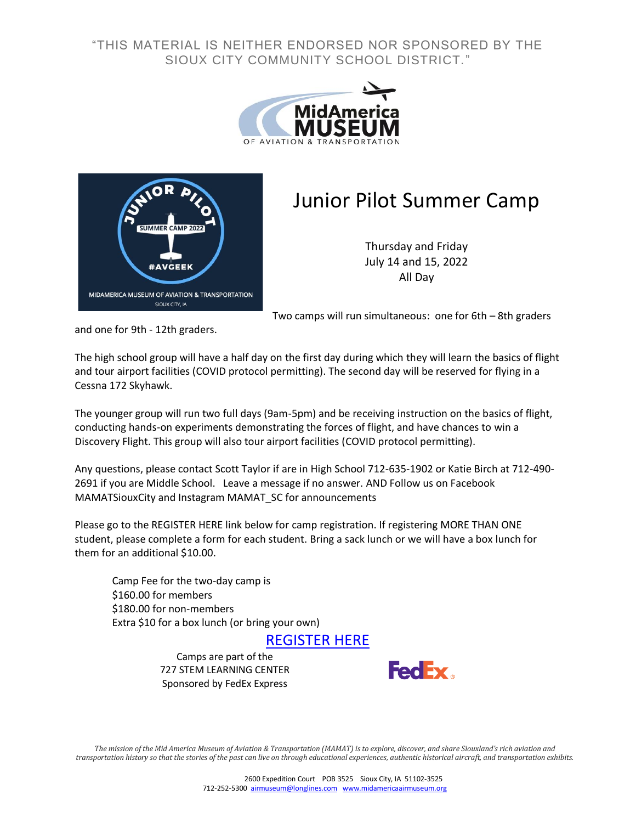## "THIS MATERIAL IS NEITHER ENDORSED NOR SPONSORED BY THE SIOUX CITY COMMUNITY SCHOOL DISTRICT."





## Junior Pilot Summer Camp

Thursday and Friday July 14 and 15, 2022 All Day

Two camps will run simultaneous: one for 6th – 8th graders

and one for 9th - 12th graders.

The high school group will have a half day on the first day during which they will learn the basics of flight and tour airport facilities (COVID protocol permitting). The second day will be reserved for flying in a Cessna 172 Skyhawk.

The younger group will run two full days (9am-5pm) and be receiving instruction on the basics of flight, conducting hands-on experiments demonstrating the forces of flight, and have chances to win a Discovery Flight. This group will also tour airport facilities (COVID protocol permitting).

Any questions, please contact Scott Taylor if are in High School 712-635-1902 or Katie Birch at 712-490- 2691 if you are Middle School. Leave a message if no answer. AND Follow us on Facebook MAMATSiouxCity and Instagram MAMAT\_SC for announcements

Please go to the REGISTER HERE link below for camp registration. If registering MORE THAN ONE student, please complete a form for each student. Bring a sack lunch or we will have a box lunch for them for an additional \$10.00.

Camp Fee for the two-day camp is \$160.00 for members \$180.00 for non-members Extra \$10 for a box lunch (or bring your own)

## [REGISTER HERE](https://forms.gle/WG9kAcWExebdVtbr9)

Camps are part of the 727 STEM LEARNING CENTER Sponsored by FedEx Express



*The mission of the Mid America Museum of Aviation & Transportation (MAMAT) is to explore, discover, and share Siouxland's rich aviation and transportation history so that the stories of the past can live on through educational experiences, authentic historical aircraft, and transportation exhibits.*